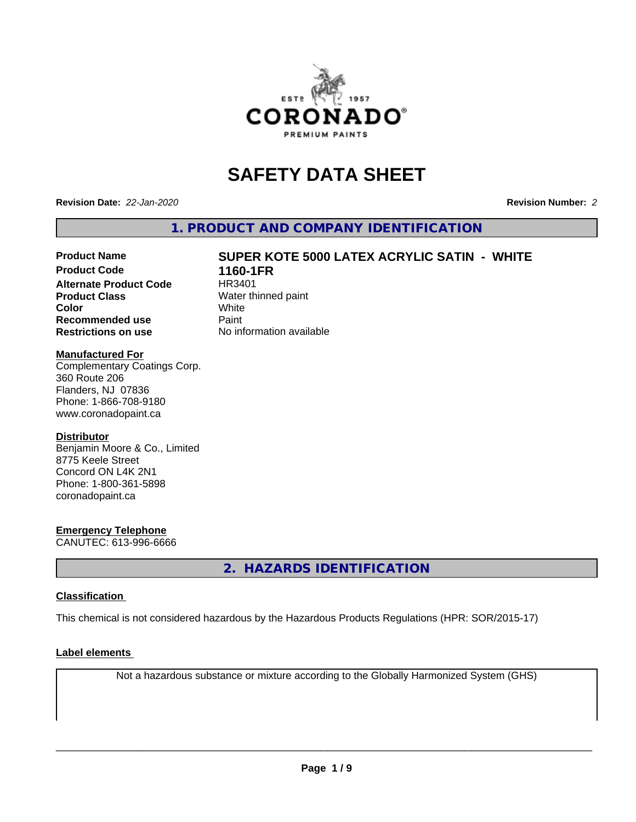

# **SAFETY DATA SHEET**

**Revision Date:** *22-Jan-2020* **Revision Number:** *2*

**1. PRODUCT AND COMPANY IDENTIFICATION**

# **Product Name SUPER KOTE 5000 LATEX ACRYLIC SATIN - WHITE**

**Alternate Product Code Product Class** Water thinned paint<br> **Color** White **Color** White White **Recommended use** Paint **Restrictions on use** No information available

**1160-1FR**<br>HR3401

# **Manufactured For**

Complementary Coatings Corp. 360 Route 206 Flanders, NJ 07836 Phone: 1-866-708-9180 www.coronadopaint.ca

# **Distributor**

Benjamin Moore & Co., Limited 8775 Keele Street Concord ON L4K 2N1 Phone: 1-800-361-5898 coronadopaint.ca

# **Emergency Telephone**

CANUTEC: 613-996-6666

**2. HAZARDS IDENTIFICATION**

# **Classification**

This chemical is not considered hazardous by the Hazardous Products Regulations (HPR: SOR/2015-17)

# **Label elements**

Not a hazardous substance or mixture according to the Globally Harmonized System (GHS)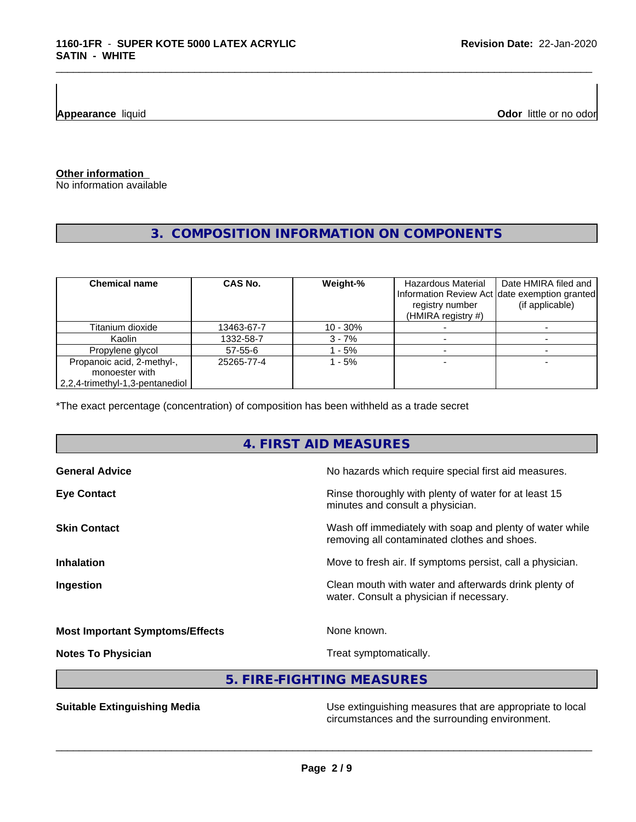**Appearance** liquid **Odor 11** and **Odor 11** and **Odor 11** and **Odor 11** and **Odor 11** and **Odor Odor** 11 and **Odor** 11 and **Odor** 11 and **Odor** 11 and **Odor** 11 and **Odor** 11 and 21 and 21 and 21 and 21 and 22 and 22 and

# **Other information**

No information available

# **3. COMPOSITION INFORMATION ON COMPONENTS**

\_\_\_\_\_\_\_\_\_\_\_\_\_\_\_\_\_\_\_\_\_\_\_\_\_\_\_\_\_\_\_\_\_\_\_\_\_\_\_\_\_\_\_\_\_\_\_\_\_\_\_\_\_\_\_\_\_\_\_\_\_\_\_\_\_\_\_\_\_\_\_\_\_\_\_\_\_\_\_\_\_\_\_\_\_\_\_\_\_\_\_\_\_

| <b>Chemical name</b>                         | CAS No.    | Weight-%   | Hazardous Material<br>registry number<br>(HMIRA registry #) | Date HMIRA filed and<br>Information Review Act date exemption granted<br>(if applicable) |
|----------------------------------------------|------------|------------|-------------------------------------------------------------|------------------------------------------------------------------------------------------|
| Titanium dioxide                             | 13463-67-7 | $10 - 30%$ |                                                             |                                                                                          |
| Kaolin                                       | 1332-58-7  | $3 - 7%$   |                                                             |                                                                                          |
| Propylene glycol                             | 57-55-6    | $-5%$      |                                                             |                                                                                          |
| Propanoic acid, 2-methyl-,<br>monoester with | 25265-77-4 | - 5%       |                                                             |                                                                                          |
| 2,2,4-trimethyl-1,3-pentanediol              |            |            |                                                             |                                                                                          |

\*The exact percentage (concentration) of composition has been withheld as a trade secret

# **4. FIRST AID MEASURES**

| <b>General Advice</b>                  | No hazards which require special first aid measures.                                                     |
|----------------------------------------|----------------------------------------------------------------------------------------------------------|
| <b>Eye Contact</b>                     | Rinse thoroughly with plenty of water for at least 15<br>minutes and consult a physician.                |
| <b>Skin Contact</b>                    | Wash off immediately with soap and plenty of water while<br>removing all contaminated clothes and shoes. |
| <b>Inhalation</b>                      | Move to fresh air. If symptoms persist, call a physician.                                                |
| Ingestion                              | Clean mouth with water and afterwards drink plenty of<br>water. Consult a physician if necessary.        |
| <b>Most Important Symptoms/Effects</b> | None known.                                                                                              |
|                                        |                                                                                                          |

**Notes To Physician Treat symptomatically.** 

 $\overline{\phantom{a}}$  ,  $\overline{\phantom{a}}$  ,  $\overline{\phantom{a}}$  ,  $\overline{\phantom{a}}$  ,  $\overline{\phantom{a}}$  ,  $\overline{\phantom{a}}$  ,  $\overline{\phantom{a}}$  ,  $\overline{\phantom{a}}$  ,  $\overline{\phantom{a}}$  ,  $\overline{\phantom{a}}$  ,  $\overline{\phantom{a}}$  ,  $\overline{\phantom{a}}$  ,  $\overline{\phantom{a}}$  ,  $\overline{\phantom{a}}$  ,  $\overline{\phantom{a}}$  ,  $\overline{\phantom{a}}$ 

**5. FIRE-FIGHTING MEASURES**

**Suitable Extinguishing Media** Maximum Use extinguishing measures that are appropriate to local circumstances and the surrounding environment.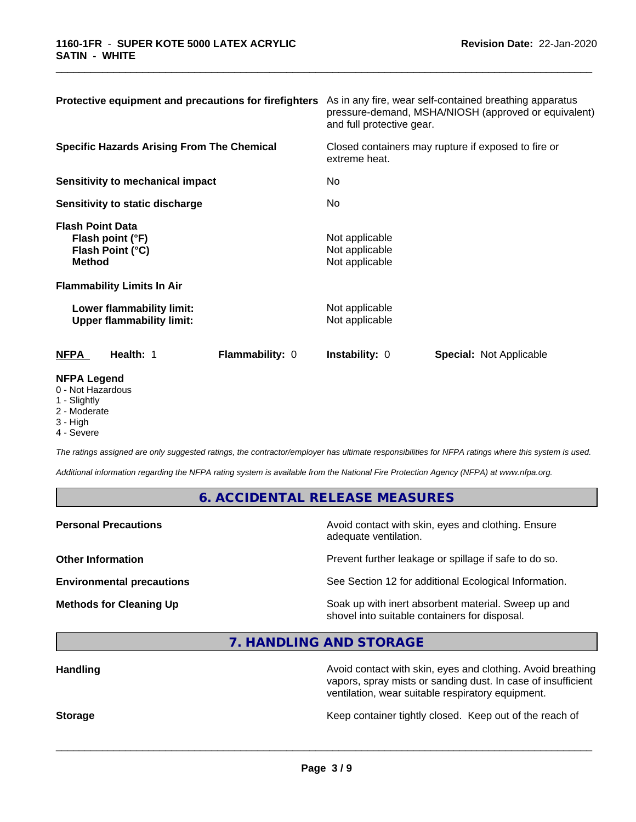| Protective equipment and precautions for firefighters                                                                 | As in any fire, wear self-contained breathing apparatus<br>pressure-demand, MSHA/NIOSH (approved or equivalent)<br>and full protective gear. |  |  |
|-----------------------------------------------------------------------------------------------------------------------|----------------------------------------------------------------------------------------------------------------------------------------------|--|--|
| <b>Specific Hazards Arising From The Chemical</b>                                                                     | Closed containers may rupture if exposed to fire or<br>extreme heat.                                                                         |  |  |
| <b>Sensitivity to mechanical impact</b>                                                                               | No                                                                                                                                           |  |  |
| Sensitivity to static discharge                                                                                       | No                                                                                                                                           |  |  |
| <b>Flash Point Data</b><br>Flash point (°F)<br>Flash Point (°C)<br><b>Method</b><br><b>Flammability Limits In Air</b> | Not applicable<br>Not applicable<br>Not applicable                                                                                           |  |  |
| Lower flammability limit:<br><b>Upper flammability limit:</b>                                                         | Not applicable<br>Not applicable                                                                                                             |  |  |
| Flammability: 0<br><b>NFPA</b><br>Health: 1                                                                           | <b>Instability: 0</b><br><b>Special: Not Applicable</b>                                                                                      |  |  |
| <b>NFPA Legend</b><br>0 - Not Hazardous<br>$\overline{1}$ $\overline{1}$                                              |                                                                                                                                              |  |  |

\_\_\_\_\_\_\_\_\_\_\_\_\_\_\_\_\_\_\_\_\_\_\_\_\_\_\_\_\_\_\_\_\_\_\_\_\_\_\_\_\_\_\_\_\_\_\_\_\_\_\_\_\_\_\_\_\_\_\_\_\_\_\_\_\_\_\_\_\_\_\_\_\_\_\_\_\_\_\_\_\_\_\_\_\_\_\_\_\_\_\_\_\_

- 1 Slightly
- 2 Moderate
- 3 High
- 4 Severe

*The ratings assigned are only suggested ratings, the contractor/employer has ultimate responsibilities for NFPA ratings where this system is used.*

*Additional information regarding the NFPA rating system is available from the National Fire Protection Agency (NFPA) at www.nfpa.org.*

# **6. ACCIDENTAL RELEASE MEASURES**

**Personal Precautions Precautions** Avoid contact with skin, eyes and clothing. Ensure adequate ventilation. **Other Information Other Information Prevent further leakage or spillage if safe to do so. Environmental precautions** See Section 12 for additional Ecological Information. **Methods for Cleaning Up Soak** up with inert absorbent material. Sweep up and shovel into suitable containers for disposal.

**7. HANDLING AND STORAGE**

| <b>Handling</b> | Avoid contact with skin, eyes and clothing. Avoid breathing<br>vapors, spray mists or sanding dust. In case of insufficient<br>ventilation, wear suitable respiratory equipment. |  |
|-----------------|----------------------------------------------------------------------------------------------------------------------------------------------------------------------------------|--|
| <b>Storage</b>  | Keep container tightly closed. Keep out of the reach of                                                                                                                          |  |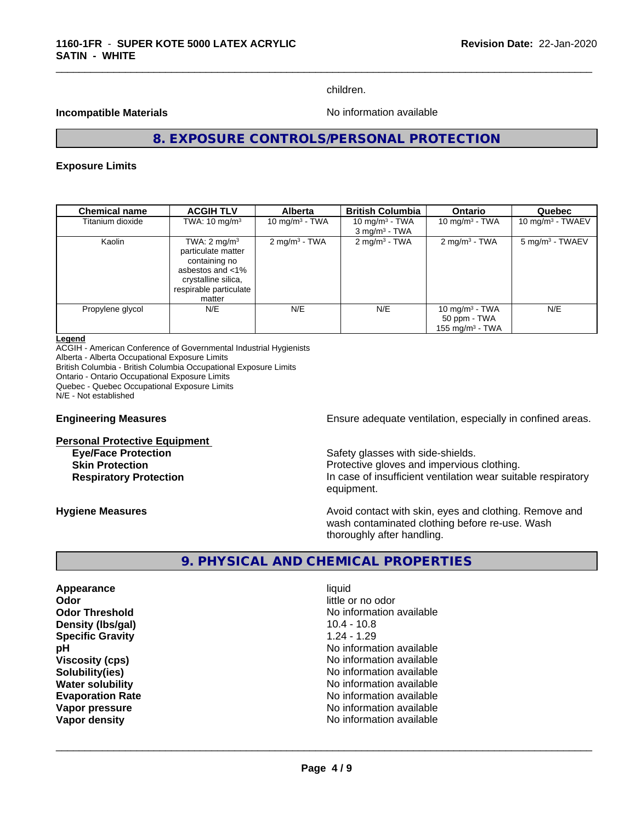children.

#### **Incompatible Materials No information available No** information available

\_\_\_\_\_\_\_\_\_\_\_\_\_\_\_\_\_\_\_\_\_\_\_\_\_\_\_\_\_\_\_\_\_\_\_\_\_\_\_\_\_\_\_\_\_\_\_\_\_\_\_\_\_\_\_\_\_\_\_\_\_\_\_\_\_\_\_\_\_\_\_\_\_\_\_\_\_\_\_\_\_\_\_\_\_\_\_\_\_\_\_\_\_

# **8. EXPOSURE CONTROLS/PERSONAL PROTECTION**

#### **Exposure Limits**

| <b>Chemical name</b> | <b>ACGIH TLV</b>                                                                                                                              | <b>Alberta</b>             | <b>British Columbia</b>     | <b>Ontario</b>                                          | Quebec                      |
|----------------------|-----------------------------------------------------------------------------------------------------------------------------------------------|----------------------------|-----------------------------|---------------------------------------------------------|-----------------------------|
| Titanium dioxide     | TWA: $10 \text{ mg/m}^3$                                                                                                                      | 10 mg/m <sup>3</sup> - TWA | 10 mg/m $3$ - TWA           | 10 mg/m $3$ - TWA                                       | 10 mg/m $3$ - TWAEV         |
|                      |                                                                                                                                               |                            | $3$ mg/m <sup>3</sup> - TWA |                                                         |                             |
| Kaolin               | TWA: $2 \text{ mg/m}^3$<br>particulate matter<br>containing no<br>asbestos and <1%<br>crystalline silica,<br>respirable particulate<br>matter | $2 \text{ mg/m}^3$ - TWA   | $2 \text{ mg/m}^3$ - TWA    | 2 mg/m <sup>3</sup> - TWA                               | 5 mg/m <sup>3</sup> - TWAEV |
| Propylene glycol     | N/E                                                                                                                                           | N/E                        | N/E                         | 10 mg/m $3$ - TWA<br>50 ppm - TWA<br>155 mg/m $3$ - TWA | N/E                         |

#### **Legend**

ACGIH - American Conference of Governmental Industrial Hygienists Alberta - Alberta Occupational Exposure Limits British Columbia - British Columbia Occupational Exposure Limits Ontario - Ontario Occupational Exposure Limits Quebec - Quebec Occupational Exposure Limits N/E - Not established

**Personal Protective Equipment**

**Engineering Measures Ensure** Ensure adequate ventilation, especially in confined areas.

**Eve/Face Protection Safety glasses with side-shields. Skin Protection Protection Protective gloves and impervious clothing. Respiratory Protection In case of insufficient ventilation wear suitable respiratory** equipment.

**Hygiene Measures Avoid contact with skin, eyes and clothing. Remove and Avoid contact with skin, eyes and clothing. Remove and** wash contaminated clothing before re-use. Wash thoroughly after handling.

# **9. PHYSICAL AND CHEMICAL PROPERTIES**

**Appearance** liquid **Odor** little or no odor **Density (Ibs/gal)** 20.4 - 10.8 **Specific Gravity** 1.24 - 1.29

**Odor Threshold No information available No information available pH** No information available **Viscosity (cps)** No information available **Solubility(ies)** No information available **Water solubility Water solubility Water solubility Water solubility Water solution Evaporation Rate No information available No information available Vapor pressure** No information available **Vapor density Vapor** density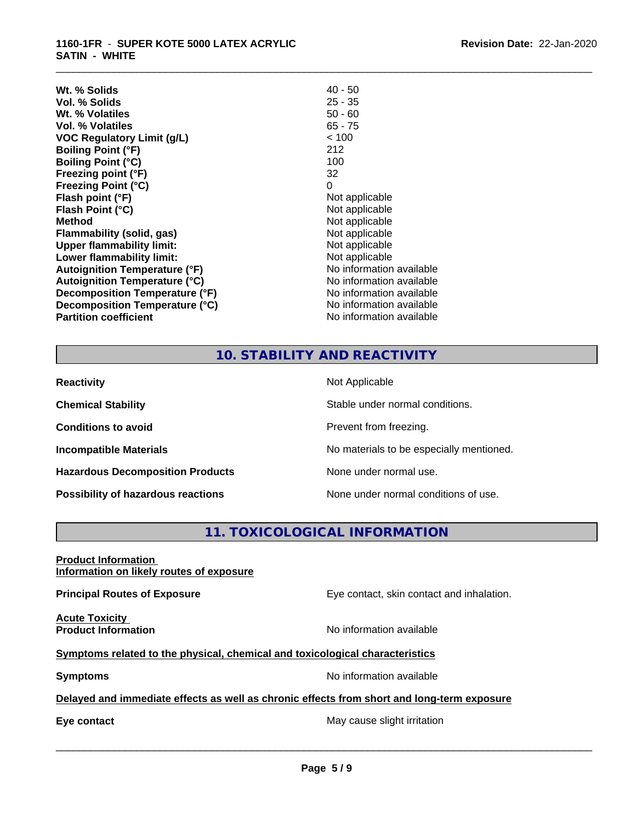| $40 - 50$                |
|--------------------------|
| $25 - 35$                |
| $50 - 60$                |
| $65 - 75$                |
| < 100                    |
| 212                      |
| 100                      |
| 32                       |
| 0                        |
| Not applicable           |
| Not applicable           |
| Not applicable           |
| Not applicable           |
| Not applicable           |
| Not applicable           |
| No information available |
| No information available |
| No information available |
| No information available |
| No information available |
|                          |

# **10. STABILITY AND REACTIVITY**

\_\_\_\_\_\_\_\_\_\_\_\_\_\_\_\_\_\_\_\_\_\_\_\_\_\_\_\_\_\_\_\_\_\_\_\_\_\_\_\_\_\_\_\_\_\_\_\_\_\_\_\_\_\_\_\_\_\_\_\_\_\_\_\_\_\_\_\_\_\_\_\_\_\_\_\_\_\_\_\_\_\_\_\_\_\_\_\_\_\_\_\_\_

| <b>Reactivity</b>                       | Not Applicable                           |
|-----------------------------------------|------------------------------------------|
| <b>Chemical Stability</b>               | Stable under normal conditions.          |
| <b>Conditions to avoid</b>              | Prevent from freezing.                   |
| <b>Incompatible Materials</b>           | No materials to be especially mentioned. |
| <b>Hazardous Decomposition Products</b> | None under normal use.                   |
| Possibility of hazardous reactions      | None under normal conditions of use.     |

# **11. TOXICOLOGICAL INFORMATION**

| <b>Product Information</b><br>Information on likely routes of exposure                     |                                           |
|--------------------------------------------------------------------------------------------|-------------------------------------------|
| <b>Principal Routes of Exposure</b>                                                        | Eye contact, skin contact and inhalation. |
| <b>Acute Toxicity</b><br><b>Product Information</b>                                        | No information available                  |
| Symptoms related to the physical, chemical and toxicological characteristics               |                                           |
| <b>Symptoms</b>                                                                            | No information available                  |
| Delayed and immediate effects as well as chronic effects from short and long-term exposure |                                           |
| Eye contact                                                                                | May cause slight irritation               |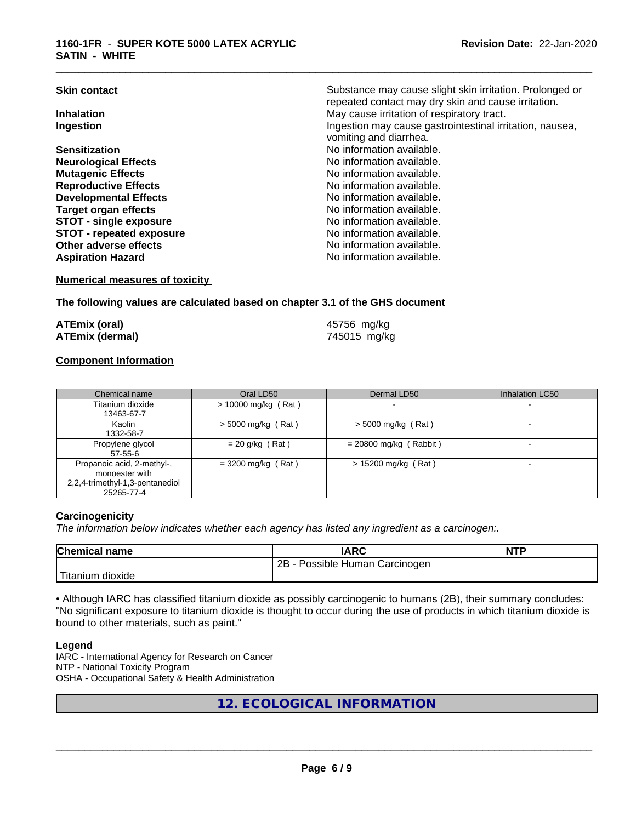| <b>Skin contact</b>             | Substance may cause slight skin irritation. Prolonged or |
|---------------------------------|----------------------------------------------------------|
|                                 | repeated contact may dry skin and cause irritation.      |
| <b>Inhalation</b>               | May cause irritation of respiratory tract.               |
| Ingestion                       | Ingestion may cause gastrointestinal irritation, nausea, |
|                                 | vomiting and diarrhea.                                   |
| <b>Sensitization</b>            | No information available.                                |
| <b>Neurological Effects</b>     | No information available.                                |
| <b>Mutagenic Effects</b>        | No information available.                                |
| <b>Reproductive Effects</b>     | No information available.                                |
| <b>Developmental Effects</b>    | No information available.                                |
| Target organ effects            | No information available.                                |
| <b>STOT - single exposure</b>   | No information available.                                |
| <b>STOT - repeated exposure</b> | No information available.                                |
| Other adverse effects           | No information available.                                |
| <b>Aspiration Hazard</b>        | No information available.                                |
|                                 |                                                          |

#### **Numerical measures of toxicity**

# **The following values are calculated based on chapter 3.1 of the GHS document**

| <b>ATEmix (oral)</b>   |  |
|------------------------|--|
| <b>ATEmix (dermal)</b> |  |

**ATEmix (oral)** 45756 mg/kg **ATEmix (dermal)** 745015 mg/kg

\_\_\_\_\_\_\_\_\_\_\_\_\_\_\_\_\_\_\_\_\_\_\_\_\_\_\_\_\_\_\_\_\_\_\_\_\_\_\_\_\_\_\_\_\_\_\_\_\_\_\_\_\_\_\_\_\_\_\_\_\_\_\_\_\_\_\_\_\_\_\_\_\_\_\_\_\_\_\_\_\_\_\_\_\_\_\_\_\_\_\_\_\_

# **Component Information**

| Chemical name                                                                                 | Oral LD50            | Dermal LD50              | <b>Inhalation LC50</b> |
|-----------------------------------------------------------------------------------------------|----------------------|--------------------------|------------------------|
| Titanium dioxide<br>13463-67-7                                                                | > 10000 mg/kg (Rat)  |                          |                        |
| Kaolin<br>1332-58-7                                                                           | $>$ 5000 mg/kg (Rat) | $>$ 5000 mg/kg (Rat)     |                        |
| Propylene glycol<br>$57 - 55 - 6$                                                             | $= 20$ g/kg (Rat)    | $= 20800$ mg/kg (Rabbit) |                        |
| Propanoic acid, 2-methyl-,<br>monoester with<br>2,2,4-trimethyl-1,3-pentanediol<br>25265-77-4 | $=$ 3200 mg/kg (Rat) | $> 15200$ mg/kg (Rat)    |                        |

# **Carcinogenicity**

*The information below indicateswhether each agency has listed any ingredient as a carcinogen:.*

| <b>Chemical name</b> | <b>IARC</b>                               | <b>NTP</b> |
|----------------------|-------------------------------------------|------------|
|                      | 2B<br>Carcinogen<br><b>Possible Human</b> |            |
| 'Titanium<br>dioxide |                                           |            |

• Although IARC has classified titanium dioxide as possibly carcinogenic to humans (2B), their summary concludes: "No significant exposure to titanium dioxide is thought to occur during the use of products in which titanium dioxide is bound to other materials, such as paint."

# **Legend**

IARC - International Agency for Research on Cancer NTP - National Toxicity Program OSHA - Occupational Safety & Health Administration

**12. ECOLOGICAL INFORMATION**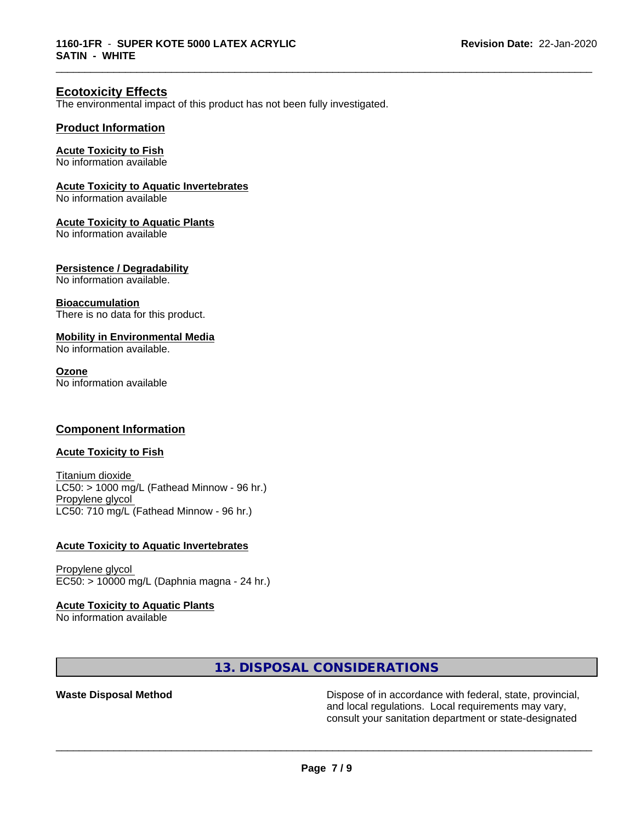\_\_\_\_\_\_\_\_\_\_\_\_\_\_\_\_\_\_\_\_\_\_\_\_\_\_\_\_\_\_\_\_\_\_\_\_\_\_\_\_\_\_\_\_\_\_\_\_\_\_\_\_\_\_\_\_\_\_\_\_\_\_\_\_\_\_\_\_\_\_\_\_\_\_\_\_\_\_\_\_\_\_\_\_\_\_\_\_\_\_\_\_\_

# **Ecotoxicity Effects**

The environmental impact of this product has not been fully investigated.

# **Product Information**

#### **Acute Toxicity to Fish**

No information available

#### **Acute Toxicity to Aquatic Invertebrates**

No information available

#### **Acute Toxicity to Aquatic Plants**

No information available

#### **Persistence / Degradability**

No information available.

#### **Bioaccumulation**

There is no data for this product.

# **Mobility in Environmental Media**

No information available.

#### **Ozone**

No information available

# **Component Information**

# **Acute Toxicity to Fish**

Titanium dioxide  $LC50:$  > 1000 mg/L (Fathead Minnow - 96 hr.) Propylene glycol LC50: 710 mg/L (Fathead Minnow - 96 hr.)

#### **Acute Toxicity to Aquatic Invertebrates**

Propylene glycol EC50: > 10000 mg/L (Daphnia magna - 24 hr.)

# **Acute Toxicity to Aquatic Plants**

No information available

# **13. DISPOSAL CONSIDERATIONS**

**Waste Disposal Method Dispose of in accordance with federal, state, provincial,** and local regulations. Local requirements may vary, consult your sanitation department or state-designated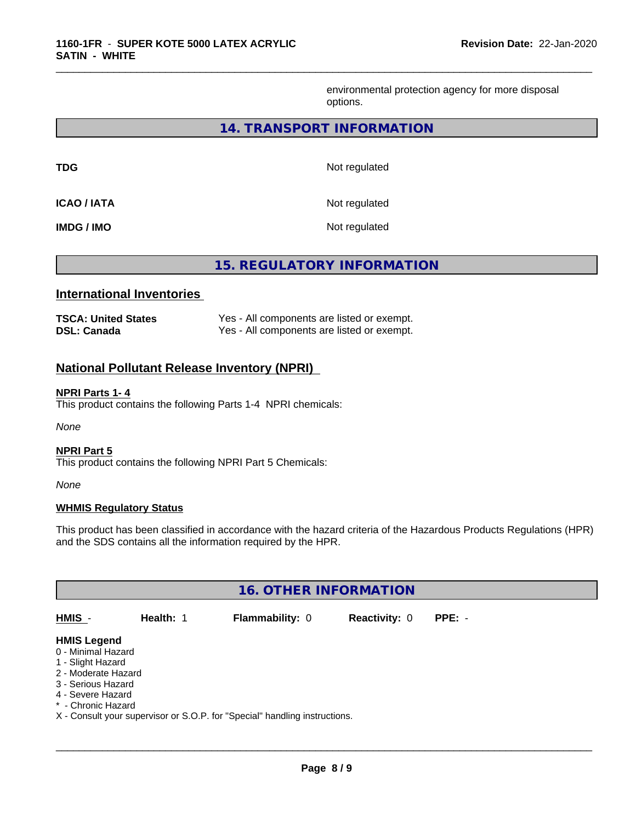environmental protection agency for more disposal options.

# **14. TRANSPORT INFORMATION**

**TDG** Not regulated

\_\_\_\_\_\_\_\_\_\_\_\_\_\_\_\_\_\_\_\_\_\_\_\_\_\_\_\_\_\_\_\_\_\_\_\_\_\_\_\_\_\_\_\_\_\_\_\_\_\_\_\_\_\_\_\_\_\_\_\_\_\_\_\_\_\_\_\_\_\_\_\_\_\_\_\_\_\_\_\_\_\_\_\_\_\_\_\_\_\_\_\_\_

**ICAO / IATA** Not regulated

**IMDG / IMO** Not regulated

**15. REGULATORY INFORMATION**

# **International Inventories**

| <b>TSCA: United States</b> | Yes - All components are listed or exempt. |
|----------------------------|--------------------------------------------|
| <b>DSL: Canada</b>         | Yes - All components are listed or exempt. |

# **National Pollutant Release Inventory (NPRI)**

#### **NPRI Parts 1- 4**

This product contains the following Parts 1-4 NPRI chemicals:

*None*

# **NPRI Part 5**

This product contains the following NPRI Part 5 Chemicals:

*None*

# **WHMIS Regulatory Status**

This product has been classified in accordance with the hazard criteria of the Hazardous Products Regulations (HPR) and the SDS contains all the information required by the HPR.

| <b>16. OTHER INFORMATION</b>                                                                                                                          |           |                                                                            |                      |          |  |  |
|-------------------------------------------------------------------------------------------------------------------------------------------------------|-----------|----------------------------------------------------------------------------|----------------------|----------|--|--|
| HMIS -                                                                                                                                                | Health: 1 | Flammability: 0                                                            | <b>Reactivity: 0</b> | $PPE: -$ |  |  |
| <b>HMIS Legend</b><br>0 - Minimal Hazard<br>1 - Slight Hazard<br>2 - Moderate Hazard<br>3 - Serious Hazard<br>4 - Severe Hazard<br>* - Chronic Hazard |           | X - Consult your supervisor or S.O.P. for "Special" handling instructions. |                      |          |  |  |